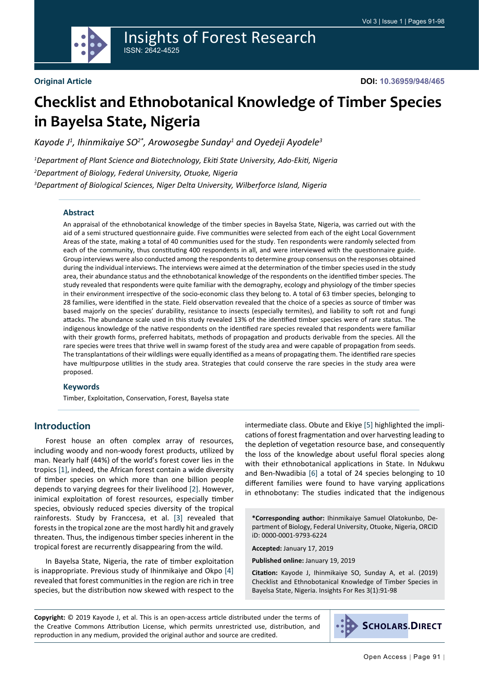

# Insights of Forest Research ISSN: 2642-4525

#### **Original Article**

**DOI: 10.36959/948/465**

# **Checklist and Ethnobotanical Knowledge of Timber Species in Bayelsa State, Nigeria**

Kayode J<sup>1</sup>, Ihinmikaiye SO<sup>2\*</sup>, Arowosegbe Sunday<sup>1</sup> and Oyedeji Ayodele<sup>3</sup>

*1 Department of Plant Science and Biotechnology, Ekiti State University, Ado-Ekiti, Nigeria 2 Department of Biology, Federal University, Otuoke, Nigeria 3 Department of Biological Sciences, Niger Delta University, Wilberforce Island, Nigeria*

#### **Abstract**

An appraisal of the ethnobotanical knowledge of the timber species in Bayelsa State, Nigeria, was carried out with the aid of a semi structured questionnaire guide. Five communities were selected from each of the eight Local Government Areas of the state, making a total of 40 communities used for the study. Ten respondents were randomly selected from each of the community, thus constituting 400 respondents in all, and were interviewed with the questionnaire guide. Group interviews were also conducted among the respondents to determine group consensus on the responses obtained during the individual interviews. The interviews were aimed at the determination of the timber species used in the study area, their abundance status and the ethnobotanical knowledge of the respondents on the identified timber species. The study revealed that respondents were quite familiar with the demography, ecology and physiology of the timber species in their environment irrespective of the socio-economic class they belong to. A total of 63 timber species, belonging to 28 families, were identified in the state. Field observation revealed that the choice of a species as source of timber was based majorly on the species' durability, resistance to insects (especially termites), and liability to soft rot and fungi attacks. The abundance scale used in this study revealed 13% of the identified timber species were of rare status. The indigenous knowledge of the native respondents on the identified rare species revealed that respondents were familiar with their growth forms, preferred habitats, methods of propagation and products derivable from the species. All the rare species were trees that thrive well in swamp forest of the study area and were capable of propagation from seeds. The transplantations of their wildlings were equally identified as a means of propagating them. The identified rare species have multipurpose utilities in the study area. Strategies that could conserve the rare species in the study area were proposed.

#### **Keywords**

Timber, Exploitation, Conservation, Forest, Bayelsa state

## **Introduction**

Forest house an often complex array of resources, including woody and non-woody forest products, utilized by man. Nearly half (44%) of the world's forest cover lies in the tropics [[1\]](#page-6-0), indeed, the African forest contain a wide diversity of timber species on which more than one billion people depends to varying degrees for their livelihood [\[2](#page-6-1)]. However, inimical exploitation of forest resources, especially timber species, obviously reduced species diversity of the tropical rainforests. Study by Franccesa, et al. [\[3](#page-6-2)] revealed that forests in the tropical zone are the most hardly hit and gravely threaten. Thus, the indigenous timber species inherent in the tropical forest are recurrently disappearing from the wild.

In Bayelsa State, Nigeria, the rate of timber exploitation is inappropriate. Previous study of Ihinmikaiye and Okpo [\[4](#page-6-3)] revealed that forest communities in the region are rich in tree species, but the distribution now skewed with respect to the

intermediate class. Obute and Ekiye [[5\]](#page-6-4) highlighted the implications of forest fragmentation and over harvesting leading to the depletion of vegetation resource base, and consequently the loss of the knowledge about useful floral species along with their ethnobotanical applications in State. In Ndukwu and Ben-Nwadibia [[6\]](#page-6-5) a total of 24 species belonging to 10 different families were found to have varying applications in ethnobotany: The studies indicated that the indigenous

**\*Corresponding author:** Ihinmikaiye Samuel Olatokunbo, Department of Biology, Federal University, Otuoke, Nigeria, ORCID iD: 0000-0001-9793-6224

**Accepted:** January 17, 2019

**Published online:** January 19, 2019

**Citation:** Kayode J, Ihinmikaiye SO, Sunday A, et al. (2019) Checklist and Ethnobotanical Knowledge of Timber Species in Bayelsa State, Nigeria. Insights For Res 3(1):91-98

**Copyright:** © 2019 Kayode J, et al. This is an open-access article distributed under the terms of the Creative Commons Attribution License, which permits unrestricted use, distribution, and reproduction in any medium, provided the original author and source are credited.

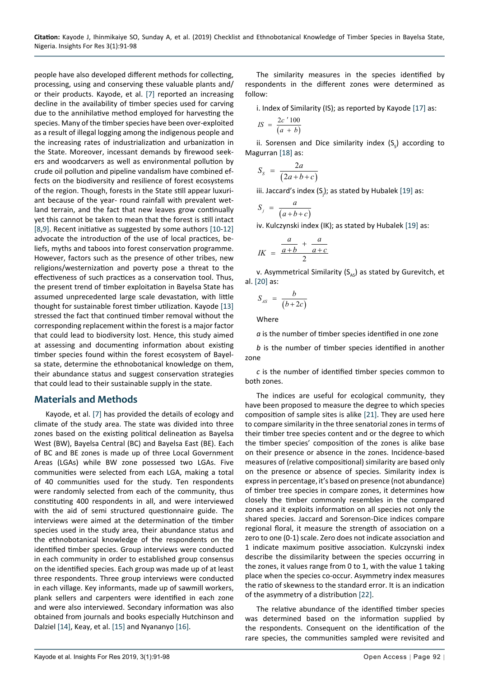people have also developed different methods for collecting, processing, using and conserving these valuable plants and/ or their products. Kayode, et al. [\[7](#page-6-12)] reported an increasing decline in the availability of timber species used for carving due to the annihilative method employed for harvesting the species. Many of the timber species have been over-exploited as a result of illegal logging among the indigenous people and the increasing rates of industrialization and urbanization in the State. Moreover, incessant demands by firewood seekers and woodcarvers as well as environmental pollution by crude oil pollution and pipeline vandalism have combined effects on the biodiversity and resilience of forest ecosystems of the region. Though, forests in the State still appear luxuriant because of the year- round rainfall with prevalent wetland terrain, and the fact that new leaves grow continually yet this cannot be taken to mean that the forest is still intact [[8,](#page-6-13)[9](#page-6-14)]. Recent initiative as suggested by some authors [\[10](#page-6-15)[-12](#page-6-16)] advocate the introduction of the use of local practices, beliefs, myths and taboos into forest conservation programme. However, factors such as the presence of other tribes, new religions/westernization and poverty pose a threat to the effectiveness of such practices as a conservation tool. Thus, the present trend of timber exploitation in Bayelsa State has assumed unprecedented large scale devastation, with little thought for sustainable forest timber utilization. Kayode [\[13](#page-6-17)] stressed the fact that continued timber removal without the corresponding replacement within the forest is a major factor that could lead to biodiversity lost. Hence, this study aimed at assessing and documenting information about existing timber species found within the forest ecosystem of Bayelsa state, determine the ethnobotanical knowledge on them, their abundance status and suggest conservation strategies that could lead to their sustainable supply in the state.

## **Materials and Methods**

Kayode, et al. [\[7](#page-6-12)] has provided the details of ecology and climate of the study area. The state was divided into three zones based on the existing political delineation as Bayelsa West (BW), Bayelsa Central (BC) and Bayelsa East (BE). Each of BC and BE zones is made up of three Local Government Areas (LGAs) while BW zone possessed two LGAs. Five communities were selected from each LGA, making a total of 40 communities used for the study. Ten respondents were randomly selected from each of the community, thus constituting 400 respondents in all, and were interviewed with the aid of semi structured questionnaire guide. The interviews were aimed at the determination of the timber species used in the study area, their abundance status and the ethnobotanical knowledge of the respondents on the identified timber species. Group interviews were conducted in each community in order to established group consensus on the identified species. Each group was made up of at least three respondents. Three group interviews were conducted in each village. Key informants, made up of sawmill workers, plank sellers and carpenters were identified in each zone and were also interviewed. Secondary information was also obtained from journals and books especially Hutchinson and Dalziel [[14\]](#page-6-18), Keay, et al. [\[15](#page-6-19)] and Nyananyo [[16\]](#page-6-20).

The similarity measures in the species identified by respondents in the different zones were determined as follow:

i. Index of Similarity (IS); as reported by Kayode [\[17](#page-6-6)] as:

$$
IS = \frac{2c'100}{(a+b)}
$$

ii. Sorensen and Dice similarity index  $(S<sub>s</sub>)$  according to Magurran [\[18\]](#page-6-7) as:

$$
S_s = \frac{2a}{(2a+b+c)}
$$

iii. Jaccard's index  $(S_j)$ ; as stated by Hubalek [\[19](#page-6-8)] as:

$$
S_j = \frac{a}{(a+b+c)}
$$

iv. Kulczynski index (IK); as stated by Hubalek [[19](#page-6-8)] as:

$$
IK = \frac{\frac{a}{a+b} + \frac{a}{a+c}}{2}
$$

v. Asymmetrical Similarity ( $S_{A5}$ ) as stated by Gurevitch, et al. [[20\]](#page-6-9) as:

$$
S_{AS} = \frac{b}{(b+2c)}
$$

Where

*a* is the number of timber species identified in one zone

*b* is the number of timber species identified in another zone

*c* is the number of identified timber species common to both zones.

The indices are useful for ecological community, they have been proposed to measure the degree to which species composition of sample sites is alike [\[21](#page-6-10)]. They are used here to compare similarity in the three senatorial zones in terms of their timber tree species content and or the degree to which the timber species' composition of the zones is alike base on their presence or absence in the zones. Incidence-based measures of (relative compositional) similarity are based only on the presence or absence of species. Similarity index is express in percentage, it's based on presence (not abundance) of timber tree species in compare zones, it determines how closely the timber commonly resembles in the compared zones and it exploits information on all species not only the shared species. Jaccard and Sorenson-Dice indices compare regional floral, it measure the strength of association on a zero to one (0-1) scale. Zero does not indicate association and 1 indicate maximum positive association. Kulczynski index describe the dissimilarity between the species occurring in the zones, it values range from 0 to 1, with the value 1 taking place when the species co-occur. Asymmetry index measures the ratio of skewness to the standard error. It is an indication of the asymmetry of a distribution [\[22](#page-6-11)].

The relative abundance of the identified timber species was determined based on the information supplied by the respondents. Consequent on the identification of the rare species, the communities sampled were revisited and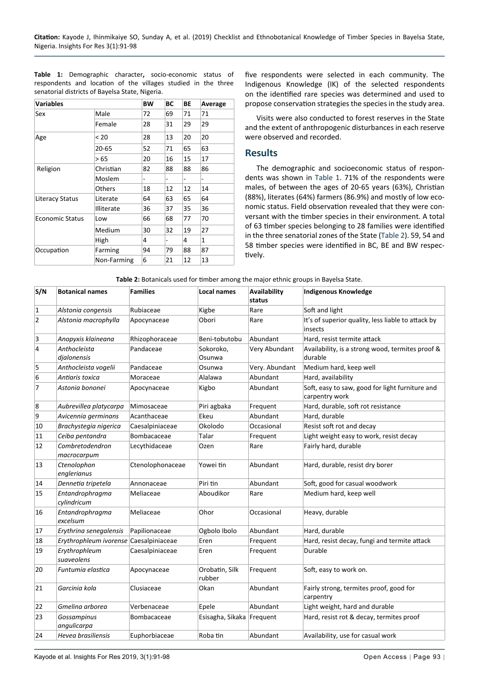**Table 1:** Demographic character**,** socio-economic status of respondents and location of the villages studied in the three senatorial districts of Bayelsa State, Nigeria.

| <b>Variables</b>       |                   | BW | ВC | ВE | Average                      |
|------------------------|-------------------|----|----|----|------------------------------|
| Sex                    | Male              | 72 | 69 | 71 | 71                           |
|                        | Female            | 28 | 31 | 29 | 29                           |
| Age                    | < 20              | 28 | 13 | 20 | 20                           |
|                        | $20 - 65$         | 52 | 71 | 65 | 63                           |
|                        | >65               | 20 | 16 | 15 | 17                           |
| Religion               | Christian         | 82 | 88 | 88 | 86                           |
|                        | Moslem            | -  | -  | ۰  | $\qquad \qquad \blacksquare$ |
|                        | <b>Others</b>     | 18 | 12 | 12 | 14                           |
| Literacy Status        | Literate          | 64 | 63 | 65 | 64                           |
|                        | <b>Illiterate</b> | 36 | 37 | 35 | 36                           |
| <b>Economic Status</b> | Low               | 66 | 68 | 77 | 70                           |
|                        | Medium            | 30 | 32 | 19 | 27                           |
|                        | High              | 4  | -  | 4  | 1                            |
| Occupation             | Farming           | 94 | 79 | 88 | 87                           |
|                        | Non-Farming       | 6  | 21 | 12 | 13                           |

five respondents were selected in each community. The Indigenous Knowledge (IK) of the selected respondents on the identified rare species was determined and used to propose conservation strategies the species in the study area.

Visits were also conducted to forest reserves in the State and the extent of anthropogenic disturbances in each reserve were observed and recorded.

## **Results**

The demographic and socioeconomic status of respondents was shown in Table 1. 71% of the respondents were males, of between the ages of 20-65 years (63%), Christian (88%), literates (64%) farmers (86.9%) and mostly of low economic status. Field observation revealed that they were conversant with the timber species in their environment. A total of 63 timber species belonging to 28 families were identified in the three senatorial zones of the State (Table 2). 59, 54 and 58 timber species were identified in BC, BE and BW respectively.

| Table 2: Botanicals used for timber among the major ethnic groups in Bayelsa State. |  |  |
|-------------------------------------------------------------------------------------|--|--|
|                                                                                     |  |  |

| S/N            | <b>Botanical names</b>                 | <b>Families</b>  | <b>Local names</b>        | <b>Availability</b><br>status | <b>Indigenous Knowledge</b>                                       |
|----------------|----------------------------------------|------------------|---------------------------|-------------------------------|-------------------------------------------------------------------|
| 1              | Alstonia congensis                     | Rubiaceae        | Kigbe                     | Rare                          | Soft and light                                                    |
| $\overline{2}$ | Alstonia macrophylla                   | Apocynaceae      | Obori                     | Rare                          | It's of superior quality, less liable to attack by<br>insects     |
| 3              | Anopyxis klaineana                     | Rhizophoraceae   | Beni-tobutobu             | Abundant                      | Hard, resist termite attack                                       |
| 4              | Anthocleista<br>djalonensis            | Pandaceae        | Sokoroko,<br>Osunwa       | Very Abundant                 | Availability, is a strong wood, termites proof &<br>durable       |
| 5              | Anthocleista vogelii                   | Pandaceae        | Osunwa                    | Very. Abundant                | Medium hard, keep well                                            |
| 6              | Antiaris toxica                        | Moraceae         | Alalawa                   | Abundant                      | Hard, availability                                                |
| 7              | Astonia bononei                        | Apocynaceae      | Kigbo                     | Abundant                      | Soft, easy to saw, good for light furniture and<br>carpentry work |
| 8              | Aubrevillea platycarpa                 | Mimosaceae       | Piri agbaka               | Frequent                      | Hard, durable, soft rot resistance                                |
| 9              | Avicennia germinans                    | Acanthaceae      | Ekeu                      | Abundant                      | Hard, durable                                                     |
| 10             | Brachystegia nigerica                  | Caesalpiniaceae  | Okolodo                   | Occasional                    | Resist soft rot and decay                                         |
| 11             | Ceiba pentandra                        | Bombacaceae      | Talar                     | Frequent                      | Light weight easy to work, resist decay                           |
| 12             | Combretodendron<br>macrocarpum         | Lecythidaceae    | Ozen                      | Rare                          | Fairly hard, durable                                              |
| 13             | Ctenolophon<br>englerianus             | Ctenolophonaceae | Yowei tin                 | Abundant                      | Hard, durable, resist dry borer                                   |
| 14             | Dennetia tripetela                     | Annonaceae       | Piri tin                  | Abundant                      | Soft, good for casual woodwork                                    |
| 15             | Entandrophragma<br>cylindricum         | Meliaceae        | Aboudikor                 | Rare                          | Medium hard, keep well                                            |
| 16             | Entandrophragma<br>excelsum            | Meliaceae        | Ohor                      | Occasional                    | Heavy, durable                                                    |
| 17             | Erythrina senegalensis                 | Papilionaceae    | Ogbolo Ibolo              | Abundant                      | Hard, durable                                                     |
| 18             | Erythrophleum ivorense Caesalpiniaceae |                  | Eren                      | Frequent                      | Hard, resist decay, fungi and termite attack                      |
| 19             | Erythrophleum<br>suaveolens            | Caesalpiniaceae  | Eren                      | Frequent                      | Durable                                                           |
| 20             | Funtumia elastica                      | Apocynaceae      | Orobatin, Silk<br>rubber  | Frequent                      | Soft, easy to work on.                                            |
| 21             | Garcinia kola                          | Clusiaceae       | Okan                      | Abundant                      | Fairly strong, termites proof, good for<br>carpentry              |
| 22             | Gmelina arborea                        | Verbenaceae      | Epele                     | Abundant                      | Light weight, hard and durable                                    |
| 23             | Gossampinus<br>angulicarpa             | Bombacaceae      | Esisagha, Sikaka Frequent |                               | Hard, resist rot & decay, termites proof                          |
| 24             | Hevea brasiliensis                     | Euphorbiaceae    | Roba tin                  | Abundant                      | Availability, use for casual work                                 |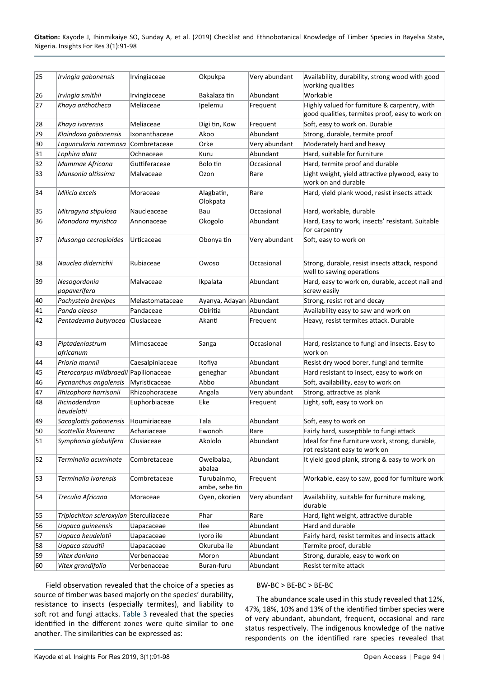| 25 | Irvingia gabonensis                    | Irvingiaceae    | Okpukpa                       | Very abundant | Availability, durability, strong wood with good<br>working qualities                             |
|----|----------------------------------------|-----------------|-------------------------------|---------------|--------------------------------------------------------------------------------------------------|
| 26 | Irvingia smithii                       | Irvingiaceae    | Bakalaza tin                  | Abundant      | Workable                                                                                         |
| 27 | Khaya anthotheca                       | Meliaceae       | Ipelemu                       | Frequent      | Highly valued for furniture & carpentry, with<br>good qualities, termites proof, easy to work on |
| 28 | Khaya ivorensis                        | Meliaceae       | Digi tin, Kow                 | Frequent      | Soft, easy to work on. Durable                                                                   |
| 29 | Klaindoxa gabonensis                   | Ixonanthaceae   | Akoo                          | Abundant      | Strong, durable, termite proof                                                                   |
| 30 | Laguncularia racemosa                  | Combretaceae    | Orke                          | Very abundant | Moderately hard and heavy                                                                        |
| 31 | Lophira alata                          | Ochnaceae       | Kuru                          | Abundant      | Hard, suitable for furniture                                                                     |
| 32 | Mammae Africana                        | Guttiferaceae   | Bolo tin                      | Occasional    | Hard, termite proof and durable                                                                  |
| 33 | Mansonia altissima                     | Malvaceae       | Ozon                          | Rare          | Light weight, yield attractive plywood, easy to<br>work on and durable                           |
| 34 | Milicia excels                         | Moraceae        | Alagbatin,<br>Olokpata        | Rare          | Hard, yield plank wood, resist insects attack                                                    |
| 35 | Mitragyna stipulosa                    | Naucleaceae     | Bau                           | Occasional    | Hard, workable, durable                                                                          |
| 36 | Monodora myristica                     | Annonaceae      | Okogolo                       | Abundant      | Hard, Easy to work, insects' resistant. Suitable<br>for carpentry                                |
| 37 | Musanga cecropioides                   | Urticaceae      | Obonya tin                    | Very abundant | Soft, easy to work on                                                                            |
| 38 | Nauclea diderrichii                    | Rubiaceae       | Owoso                         | Occasional    | Strong, durable, resist insects attack, respond<br>well to sawing operations                     |
| 39 | Nesogordonia<br>papaverifera           | Malvaceae       | Ikpalata                      | Abundant      | Hard, easy to work on, durable, accept nail and<br>screw easily                                  |
| 40 | Pachystela brevipes                    | Melastomataceae | Ayanya, Adayan Abundant       |               | Strong, resist rot and decay                                                                     |
| 41 | Panda oleosa                           | Pandaceae       | Obiritia                      | Abundant      | Availability easy to saw and work on                                                             |
| 42 | Pentadesma butyracea                   | Clusiaceae      | Akanti                        | Frequent      | Heavy, resist termites attack. Durable                                                           |
| 43 | Piptadeniastrum<br>africanum           | Mimosaceae      | Sanga                         | Occasional    | Hard, resistance to fungi and insects. Easy to<br>work on                                        |
| 44 | Prioria mannii                         | Caesalpiniaceae | Itofiya                       | Abundant      | Resist dry wood borer, fungi and termite                                                         |
| 45 | Pterocarpus mildbraedii Papilionaceae  |                 | geneghar                      | Abundant      | Hard resistant to insect, easy to work on                                                        |
| 46 | Pycnanthus angolensis                  | Myristicaceae   | Abbo                          | Abundant      | Soft, availability, easy to work on                                                              |
| 47 | Rhizophora harrisonii                  | Rhizophoraceae  | Angala                        | Very abundant | Strong, attractive as plank                                                                      |
| 48 | Ricinodendron<br>heudelotii            | Euphorbiaceae   | Eke                           | Frequent      | Light, soft, easy to work on                                                                     |
| 49 | Sacoglottis gabonensis                 | Houmiriaceae    | Tala                          | Abundant      | Soft, easy to work on                                                                            |
| 50 | Scottellia klaineana                   | Achariaceae     | Ewonoh                        | Rare          | Fairly hard, susceptible to fungi attack                                                         |
| 51 | Symphonia globulifera                  | Clusiaceae      | Akololo                       | Abundant      | Ideal for fine furniture work, strong, durable,<br>rot resistant easy to work on                 |
| 52 | Terminalia acuminate                   | Combretaceae    | Oweibalaa,<br>abalaa          | Abundant      | It yield good plank, strong & easy to work on                                                    |
| 53 | Terminalia ivorensis                   | Combretaceae    | Turubainmo,<br>ambe, sebe tin | Frequent      | Workable, easy to saw, good for furniture work                                                   |
| 54 | Treculia Africana                      | Moraceae        | Oven, okorien                 | Very abundant | Availability, suitable for furniture making,<br>durable                                          |
| 55 | Triplochiton scleroxylon Sterculiaceae |                 | Phar                          | Rare          | Hard, light weight, attractive durable                                                           |
| 56 | Uapaca guineensis                      | Uapacaceae      | Ilee                          | Abundant      | Hard and durable                                                                                 |
| 57 | Uapaca heudelotii                      | Uapacaceae      | Iyoro ile                     | Abundant      | Fairly hard, resist termites and insects attack                                                  |
| 58 | Uapaca staudtii                        | Uapacaceae      | Okuruba ile                   | Abundant      | Termite proof, durable                                                                           |
| 59 | Vitex doniana                          | Verbenaceae     | Moron                         | Abundant      | Strong, durable, easy to work on                                                                 |
| 60 | Vitex grandifolia                      | Verbenaceae     | Buran-furu                    | Abundant      | Resist termite attack                                                                            |

Field observation revealed that the choice of a species as source of timber was based majorly on the species' durability, resistance to insects (especially termites), and liability to soft rot and fungi attacks. Table 3 revealed that the species identified in the different zones were quite similar to one another. The similarities can be expressed as:

#### BW-BC > BE-BC > BE-BC

The abundance scale used in this study revealed that 12%, 47%, 18%, 10% and 13% of the identified timber species were of very abundant, abundant, frequent, occasional and rare status respectively. The indigenous knowledge of the native respondents on the identified rare species revealed that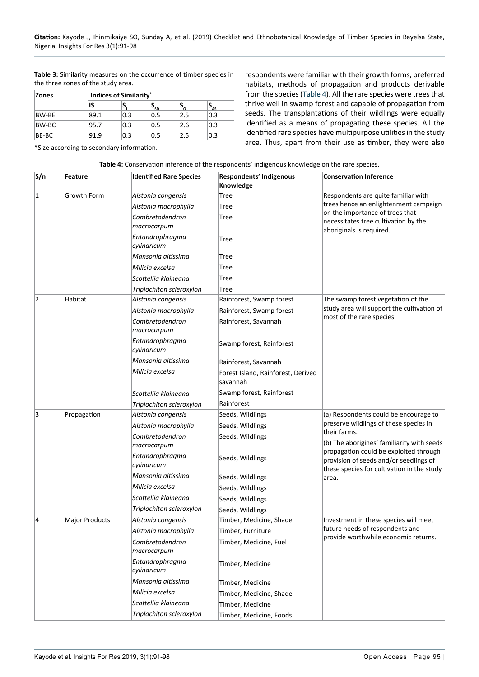**Table 3:** Similarity measures on the occurrence of timber species in the three zones of the study area.

| <b>Zones</b> |      | <b>Indices of Similarity*</b> |                   |     |                            |  |  |
|--------------|------|-------------------------------|-------------------|-----|----------------------------|--|--|
|              | IS   | э                             | $\mathbf{P}_{SD}$ | ം   | $\mathbf{P}_{\mathsf{AS}}$ |  |  |
| BW-BE        | 89.1 | 0.3                           | 0.5               | 2.5 | 0.3                        |  |  |
| BW-BC        | 95.7 | 0.3                           | 0.5               | 2.6 | 0.3                        |  |  |
| BE-BC        | 91.9 | 0.3                           | 0.5               | 2.5 | 0.3                        |  |  |

respondents were familiar with their growth forms, preferred habitats, methods of propagation and products derivable from the species (Table 4). All the rare species were trees that thrive well in swamp forest and capable of propagation from seeds. The transplantations of their wildlings were equally identified as a means of propagating these species. All the identified rare species have multipurpose utilities in the study area. Thus, apart from their use as timber, they were also

\*Size according to secondary information.

| S/n            | Feature               | <b>Identified Rare Species</b> | <b>Respondents' Indigenous</b><br>Knowledge    | <b>Conservation Inference</b>                                                                                                  |
|----------------|-----------------------|--------------------------------|------------------------------------------------|--------------------------------------------------------------------------------------------------------------------------------|
| $\vert$ 1      | <b>Growth Form</b>    | Alstonia congensis             | Tree                                           | Respondents are quite familiar with                                                                                            |
|                |                       | Alstonia macrophylla           | Tree                                           | trees hence an enlightenment campaign                                                                                          |
|                |                       | Combretodendron<br>macrocarpum | Tree                                           | on the importance of trees that<br>necessitates tree cultivation by the                                                        |
|                |                       | Entandrophragma<br>cylindricum | Tree                                           | aboriginals is required.                                                                                                       |
|                |                       | Mansonia altissima             | Tree                                           |                                                                                                                                |
|                |                       | Milicia excelsa                | Tree                                           |                                                                                                                                |
|                |                       | Scottellia klaineana           | Tree                                           |                                                                                                                                |
|                |                       | Triplochiton scleroxylon       | Tree                                           |                                                                                                                                |
| $\overline{2}$ | Habitat               | Alstonia congensis             | Rainforest, Swamp forest                       | The swamp forest vegetation of the                                                                                             |
|                |                       | Alstonia macrophylla           | Rainforest, Swamp forest                       | study area will support the cultivation of                                                                                     |
|                |                       | Combretodendron<br>macrocarpum | Rainforest, Savannah                           | most of the rare species.                                                                                                      |
|                |                       | Entandrophragma<br>cylindricum | Swamp forest, Rainforest                       |                                                                                                                                |
|                |                       | Mansonia altissima             | Rainforest, Savannah                           |                                                                                                                                |
|                |                       | Milicia excelsa                | Forest Island, Rainforest, Derived<br>savannah |                                                                                                                                |
|                |                       | Scottellia klaineana           | Swamp forest, Rainforest                       |                                                                                                                                |
|                |                       | Triplochiton scleroxylon       | Rainforest                                     |                                                                                                                                |
| 3              | Propagation           | Alstonia congensis             | Seeds, Wildlings                               | (a) Respondents could be encourage to                                                                                          |
|                |                       | Alstonia macrophylla           | Seeds, Wildlings                               | preserve wildlings of these species in                                                                                         |
|                |                       | Combretodendron<br>macrocarpum | Seeds, Wildlings                               | their farms.<br>(b) The aborigines' familiarity with seeds                                                                     |
|                |                       | Entandrophragma<br>cylindricum | Seeds, Wildlings                               | propagation could be exploited through<br>provision of seeds and/or seedlings of<br>these species for cultivation in the study |
|                |                       | Mansonia altissima             | Seeds, Wildlings                               | area.                                                                                                                          |
|                |                       | Milicia excelsa                | Seeds, Wildlings                               |                                                                                                                                |
|                |                       | Scottellia klaineana           | Seeds, Wildlings                               |                                                                                                                                |
|                |                       | Triplochiton scleroxylon       | Seeds, Wildlings                               |                                                                                                                                |
| $\overline{4}$ | <b>Major Products</b> | Alstonia congensis             | Timber, Medicine, Shade                        | Investment in these species will meet                                                                                          |
|                |                       | Alstonia macrophylla           | Timber, Furniture                              | future needs of respondents and                                                                                                |
|                |                       | Combretodendron<br>macrocarpum | Timber, Medicine, Fuel                         | provide worthwhile economic returns.                                                                                           |
|                |                       | Entandrophragma<br>cylindricum | Timber, Medicine                               |                                                                                                                                |
|                |                       | Mansonia altissima             | Timber, Medicine                               |                                                                                                                                |
|                |                       | Milicia excelsa                | Timber, Medicine, Shade                        |                                                                                                                                |
|                |                       | Scottellia klaineana           | Timber, Medicine                               |                                                                                                                                |
|                |                       | Triplochiton scleroxylon       | Timber, Medicine, Foods                        |                                                                                                                                |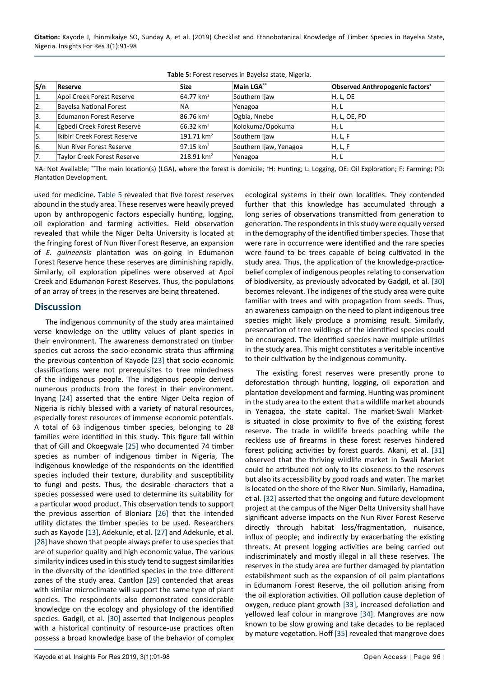**Citation:** Kayode J, Ihinmikaiye SO, Sunday A, et al. (2019) Checklist and Ethnobotanical Knowledge of Timber Species in Bayelsa State, Nigeria. Insights For Res 3(1):91-98

| S/n              | <b>Reserve</b>                     | <b>Size</b>             | <b>Main LGA**</b>      | Observed Anthropogenic factors <sup>+</sup> |
|------------------|------------------------------------|-------------------------|------------------------|---------------------------------------------|
| 1.               | Apoi Creek Forest Reserve          | $64.77 \text{ km}^2$    | Southern Ijaw          | H, L, OE                                    |
| $\overline{2}$ . | <b>Bayelsa National Forest</b>     | <b>NA</b>               | Yenagoa                | H, L                                        |
| 3.               | <b>Edumanon Forest Reserve</b>     | $86.76 \text{ km}^2$    | Ogbia, Nnebe           | H, L, OE, PD                                |
| 4.               | Egbedi Creek Forest Reserve        | $66.32 \text{ km}^2$    | Kolokuma/Opokuma       | H, L                                        |
| l5.              | Ikibiri Creek Forest Reserve       | $191.71 \text{ km}^2$   | Southern liaw          | H, L, F                                     |
| 6.               | Nun River Forest Reserve           | $97.15$ km <sup>2</sup> | Southern Ijaw, Yenagoa | H, L, F                                     |
| 7.               | <b>Taylor Creek Forest Reserve</b> | 218.91 km <sup>2</sup>  | Yenagoa                | H, L                                        |

**Table 5:** Forest reserves in Bayelsa state, Nigeria.

NA: Not Available; \*\*The main location(s) (LGA), where the forest is domicile; <sup>+</sup> H: Hunting; L: Logging, OE: Oil Exploration; F: Farming; PD: Plantation Development.

used for medicine. Table 5 revealed that five forest reserves abound in the study area. These reserves were heavily preyed upon by anthropogenic factors especially hunting, logging, oil exploration and farming activities. Field observation revealed that while the Niger Delta University is located at the fringing forest of Nun River Forest Reserve, an expansion of *E. guineensis* plantation was on-going in Edumanon Forest Reserve hence these reserves are diminishing rapidly. Similarly, oil exploration pipelines were observed at Apoi Creek and Edumanon Forest Reserves. Thus, the populations of an array of trees in the reserves are being threatened.

#### **Discussion**

The indigenous community of the study area maintained verse knowledge on the utility values of plant species in their environment. The awareness demonstrated on timber species cut across the socio-economic strata thus affirming the previous contention of Kayode [\[23](#page-6-21)] that socio-economic classifications were not prerequisites to tree mindedness of the indigenous people. The indigenous people derived numerous products from the forest in their environment. Inyang [[24\]](#page-6-22) asserted that the entire Niger Delta region of Nigeria is richly blessed with a variety of natural resources, especially forest resources of immense economic potentials. A total of 63 indigenous timber species, belonging to 28 families were identified in this study. This figure fall within that of Gill and Okoegwale [[25](#page-6-23)] who documented 74 timber species as number of indigenous timber in Nigeria, The indigenous knowledge of the respondents on the identified species included their texture, durability and susceptibility to fungi and pests. Thus, the desirable characters that a species possessed were used to determine its suitability for a particular wood product. This observation tends to support the previous assertion of Bloniarz [\[26](#page-6-24)] that the intended utility dictates the timber species to be used. Researchers such as Kayode [\[13](#page-6-17)], Adekunle, et al. [[27](#page-6-25)] and Adekunle, et al. [[28\]](#page-7-6) have shown that people always prefer to use species that are of superior quality and high economic value. The various similarity indices used in this study tend to suggest similarities in the diversity of the identified species in the tree different zones of the study area. Cantlon [[29](#page-7-7)] contended that areas with similar microclimate will support the same type of plant species. The respondents also demonstrated considerable knowledge on the ecology and physiology of the identified species. Gadgil, et al. [[30\]](#page-7-0) asserted that Indigenous peoples with a historical continuity of resource-use practices often possess a broad knowledge base of the behavior of complex

ecological systems in their own localities. They contended further that this knowledge has accumulated through a long series of observations transmitted from generation to generation. The respondents in this study were equally versed in the demography of the identified timber species. Those that were rare in occurrence were identified and the rare species were found to be trees capable of being cultivated in the study area. Thus, the application of the knowledge-practicebelief complex of indigenous peoples relating to conservation of biodiversity, as previously advocated by Gadgil, et al. [[30\]](#page-7-0) becomes relevant. The indigenes of the study area were quite familiar with trees and with propagation from seeds. Thus, an awareness campaign on the need to plant indigenous tree species might likely produce a promising result. Similarly, preservation of tree wildlings of the identified species could be encouraged. The identified species have multiple utilities in the study area. This might constitutes a veritable incentive to their cultivation by the indigenous community.

The existing forest reserves were presently prone to deforestation through hunting, logging, oil exporation and plantation development and farming. Hunting was prominent in the study area to the extent that a wildlife market abounds in Yenagoa, the state capital. The market-Swali Marketis situated in close proximity to five of the existing forest reserve. The trade in wildlife breeds poaching while the reckless use of firearms in these forest reserves hindered forest policing activities by forest guards. Akani, et al. [[31\]](#page-7-1) observed that the thriving wildlife market in Swali Market could be attributed not only to its closeness to the reserves but also its accessibility by good roads and water. The market is located on the shore of the River Nun. Similarly, Hamadina, et al. [\[32\]](#page-7-2) asserted that the ongoing and future development project at the campus of the Niger Delta University shall have significant adverse impacts on the Nun River Forest Reserve directly through habitat loss/fragmentation, nuisance, influx of people; and indirectly by exacerbating the existing threats. At present logging activities are being carried out indiscriminately and mostly illegal in all these reserves. The reserves in the study area are further damaged by plantation establishment such as the expansion of oil palm plantations in Edumanom Forest Reserve, the oil pollution arising from the oil exploration activities. Oil pollution cause depletion of oxygen, reduce plant growth [[33\]](#page-7-3), increased defoliation and yellowed leaf colour in mangrove [[34](#page-7-4)]. Mangroves are now known to be slow growing and take decades to be replaced by mature vegetation. Hoff [[35](#page-7-5)] revealed that mangrove does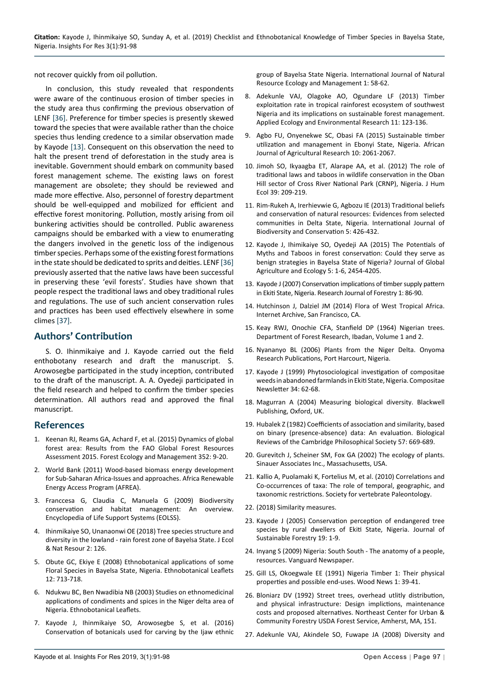not recover quickly from oil pollution.

In conclusion, this study revealed that respondents were aware of the continuous erosion of timber species in the study area thus confirming the previous observation of LENF [\[36](#page-7-8)]. Preference for timber species is presently skewed toward the species that were available rather than the choice species thus lending credence to a similar observation made by Kayode [[13\]](#page-6-17). Consequent on this observation the need to halt the present trend of deforestation in the study area is inevitable. Government should embark on community based forest management scheme. The existing laws on forest management are obsolete; they should be reviewed and made more effective. Also, personnel of forestry department should be well-equipped and mobilized for efficient and effective forest monitoring. Pollution, mostly arising from oil bunkering activities should be controlled. Public awareness campaigns should be embarked with a view to enumerating the dangers involved in the genetic loss of the indigenous timber species. Perhaps some of the existing forest formations in the state should be dedicated to sprits and deities. LENF [\[36](#page-7-8)] previously asserted that the native laws have been successful in preserving these 'evil forests'. Studies have shown that people respect the traditional laws and obey traditional rules and regulations. The use of such ancient conservation rules and practices has been used effectively elsewhere in some climes [[37\]](#page-7-9).

## **Authors' Contribution**

S. O. Ihinmikaiye and J. Kayode carried out the field enthobotany research and draft the manuscript. S. Arowosegbe participated in the study inception, contributed to the draft of the manuscript. A. A. Oyedeji participated in the field research and helped to confirm the timber species determination. All authors read and approved the final manuscript.

### **References**

- <span id="page-6-0"></span>1. [Keenan RJ, Reams GA, Achard F, et al. \(2015\) Dynamics of global](http://eprints.whiterose.ac.uk/112208/)  [forest area: Results from the FAO Global Forest Resources](http://eprints.whiterose.ac.uk/112208/)  [Assessment 2015. Forest Ecology and Management 352: 9-20.](http://eprints.whiterose.ac.uk/112208/)
- <span id="page-6-1"></span>2. [World Bank \(2011\) Wood-based biomass energy development](https://siteresources.worldbank.org/EXTAFRREGTOPENERGY/Resources/717305-1266613906108/BiomassEnergyPaper_WEB_Zoomed75.pdf)  [for Sub-Saharan Africa-Issues and approaches. Africa Renewable](https://siteresources.worldbank.org/EXTAFRREGTOPENERGY/Resources/717305-1266613906108/BiomassEnergyPaper_WEB_Zoomed75.pdf)  [Energy Access Program \(AFREA\).](https://siteresources.worldbank.org/EXTAFRREGTOPENERGY/Resources/717305-1266613906108/BiomassEnergyPaper_WEB_Zoomed75.pdf)
- <span id="page-6-2"></span>3. [Franccesa G, Claudia C, Manuela G \(2009\) Biodiversity](https://pdfs.semanticscholar.org/9fac/a62d80b03bcf4e1d146173b2503e13b6ff3f.pdf)  [conservation and habitat management: An overview.](https://pdfs.semanticscholar.org/9fac/a62d80b03bcf4e1d146173b2503e13b6ff3f.pdf)  [Encyclopedia of Life Support Systems \(EOLSS\).](https://pdfs.semanticscholar.org/9fac/a62d80b03bcf4e1d146173b2503e13b6ff3f.pdf)
- <span id="page-6-3"></span>4. [Ihinmikaiye SO, Unanaonwi OE \(2018\) Tree species structure and](https://medwinpublishers.com/JENR/JENR16000126.pdf)  [diversity in the lowland - rain forest zone of Bayelsa State. J Ecol](https://medwinpublishers.com/JENR/JENR16000126.pdf)  [& Nat Resour 2: 126.](https://medwinpublishers.com/JENR/JENR16000126.pdf)
- <span id="page-6-4"></span>5. Obute GC, Ekiye E (2008) Ethnobotanical applications of some Floral Species in Bayelsa State, Nigeria. Ethnobotanical Leaflets 12: 713-718.
- <span id="page-6-5"></span>6. Ndukwu BC, Ben Nwadibia NB (2003) Studies on ethnomedicinal applications of condiments and spices in the Niger delta area of Nigeria. Ethnobotanical Leaflets.
- <span id="page-6-12"></span>7. [Kayode J, Ihinmikaiye SO, Arowosegbe S, et al. \(2016\)](http://article.sciencepublishinggroup.com/html/10.11648.j.ijnrem.20160102.17.html)  [Conservation of botanicals used for carving by the Ijaw ethnic](http://article.sciencepublishinggroup.com/html/10.11648.j.ijnrem.20160102.17.html)

[group of Bayelsa State Nigeria. International Journal of Natural](http://article.sciencepublishinggroup.com/html/10.11648.j.ijnrem.20160102.17.html)  [Resource Ecology and Management 1: 58-62.](http://article.sciencepublishinggroup.com/html/10.11648.j.ijnrem.20160102.17.html)

- <span id="page-6-13"></span>8. [Adekunle VAJ, Olagoke AO, Ogundare LF \(2013\) Timber](http://www.aloki.hu/pdf/1101_123136.pdf)  [exploitation rate in tropical rainforest ecosystem of southwest](http://www.aloki.hu/pdf/1101_123136.pdf)  [Nigeria and its implications on sustainable forest management.](http://www.aloki.hu/pdf/1101_123136.pdf)  [Applied Ecology and Environmental Research 11: 123-136.](http://www.aloki.hu/pdf/1101_123136.pdf)
- <span id="page-6-14"></span>9. [Agbo FU, Onyenekwe SC, Obasi FA \(2015\) Sustainable timber](https://academicjournals.org/journal/AJAR/article-full-text-pdf/B892A1252819)  [utilization and management in Ebonyi State, Nigeria. African](https://academicjournals.org/journal/AJAR/article-full-text-pdf/B892A1252819)  [Journal of Agricultural Research 10: 2061-2067.](https://academicjournals.org/journal/AJAR/article-full-text-pdf/B892A1252819)
- <span id="page-6-15"></span>10. [Jimoh SO, Ikyaagba ET, Alarape AA, et al. \(2012\) The role of](https://pdfs.semanticscholar.org/c04d/cde3281db4e3a8ed56cb0a56c480de6aea7f.pdf)  [traditional laws and taboos in wildlife conservation in the Oban](https://pdfs.semanticscholar.org/c04d/cde3281db4e3a8ed56cb0a56c480de6aea7f.pdf)  [Hill sector of Cross River National Park \(CRNP\), Nigeria. J Hum](https://pdfs.semanticscholar.org/c04d/cde3281db4e3a8ed56cb0a56c480de6aea7f.pdf)  [Ecol 39: 209-219.](https://pdfs.semanticscholar.org/c04d/cde3281db4e3a8ed56cb0a56c480de6aea7f.pdf)
- 11. [Rim-Rukeh A, Irerhievwie G, Agbozu IE \(2013\) Traditional beliefs](http://www.academicjournals.org/app/webroot/article/article1380045794_Rim-Rukeh et al.pdf)  [and conservation of natural resources: Evidences from selected](http://www.academicjournals.org/app/webroot/article/article1380045794_Rim-Rukeh et al.pdf)  [communities in Delta State, Nigeria. International Journal of](http://www.academicjournals.org/app/webroot/article/article1380045794_Rim-Rukeh et al.pdf)  [Biodiversity and Conservation 5: 426-432.](http://www.academicjournals.org/app/webroot/article/article1380045794_Rim-Rukeh et al.pdf)
- <span id="page-6-16"></span>12. Kayode J, Ihimikaiye SO, Oyedeji AA (2015) The Potentials of Myths and Taboos in forest conservation: Could they serve as benign strategies in Bayelsa State of Nigeria? Journal of Global Agriculture and Ecology 5: 1-6, 2454-4205.
- <span id="page-6-17"></span>13. [Kayode J \(2007\) Conservation implications of timber supply pattern](https://scialert.net/abstract/?doi=rjf.2007.86.90)  [in Ekiti State, Nigeria. Research Journal of Forestry 1: 86-90.](https://scialert.net/abstract/?doi=rjf.2007.86.90)
- <span id="page-6-18"></span>14. Hutchinson J, Dalziel JM (2014) Flora of West Tropical Africa. Internet Archive, San Francisco, CA.
- <span id="page-6-19"></span>15. Keay RWJ, Onochie CFA, Stanfield DP (1964) Nigerian trees. Department of Forest Research, Ibadan, Volume 1 and 2.
- <span id="page-6-20"></span>16. Nyananyo BL (2006) Plants from the Niger Delta. Onyoma Research Publications, Port Harcourt, Nigeria.
- <span id="page-6-6"></span>17. Kayode J (1999) Phytosociological investigation of compositae weeds in abandoned farmlands in Ekiti State, Nigeria. Compositae Newsletter 34: 62-68.
- <span id="page-6-7"></span>18. [Magurran A \(2004\) Measuring biological diversity. Blackwell](https://www2.ib.unicamp.br/profs/thomas/NE002_2011/maio10/Magurran 2004 c2-4.pdf)  [Publishing, Oxford, UK.](https://www2.ib.unicamp.br/profs/thomas/NE002_2011/maio10/Magurran 2004 c2-4.pdf)
- <span id="page-6-8"></span>19. Hubalek Z (1982) Coefficients of association and similarity, based on binary (presence-absence) data: An evaluation. Biological Reviews of the Cambridge Philosophical Society 57: 669-689.
- <span id="page-6-9"></span>20. Gurevitch J, Scheiner SM, Fox GA (2002) The ecology of plants. Sinauer Associates Inc., Massachusetts, USA.
- <span id="page-6-10"></span>21. [Kallio A, Puolamaki K, Fortelius M, et al. \(2010\) Correlations and](https://palaeo-electronica.org/2011_1/222/index.html)  [Co-occurrences of taxa: The role of temporal, geographic, and](https://palaeo-electronica.org/2011_1/222/index.html)  [taxonomic restrictions. Society for vertebrate Paleontology.](https://palaeo-electronica.org/2011_1/222/index.html)
- <span id="page-6-11"></span>22. [\(2018\) Similarity measures.](https://cals.arizona.edu/classes/rnr555/lecnotes/10.html)
- <span id="page-6-21"></span>23. [Kayode J \(2005\) Conservation perception of endangered tree](https://www.tandfonline.com/doi/abs/10.1300/J091v19n04_01?journalCode=wjsf20)  [species by rural dwellers of Ekiti State, Nigeria. Journal of](https://www.tandfonline.com/doi/abs/10.1300/J091v19n04_01?journalCode=wjsf20)  [Sustainable Forestry 19: 1-9.](https://www.tandfonline.com/doi/abs/10.1300/J091v19n04_01?journalCode=wjsf20)
- <span id="page-6-22"></span>24. [Inyang S \(2009\) Nigeria: South South - The anatomy of a people,](https://allafrica.com/stories/200904220306.html)  [resources. Vanguard Newspaper.](https://allafrica.com/stories/200904220306.html)
- <span id="page-6-23"></span>25. Gill LS, Okoegwale EE (1991) Nigeria Timber 1: Their physical properties and possible end-uses. Wood News 1: 39-41.
- <span id="page-6-24"></span>26. [Bloniarz DV \(1992\) Street trees, overhead utlitly distribution,](http://www.umass.edu/urbantree/mla.pdf)  [and physical infrastructure: Design implictions, maintenance](http://www.umass.edu/urbantree/mla.pdf)  [costs and proposed alternatives. Northeast Center for Urban &](http://www.umass.edu/urbantree/mla.pdf)  [Community Forestry USDA Forest Service, Amherst, MA, 151.](http://www.umass.edu/urbantree/mla.pdf)
- <span id="page-6-25"></span>27. Adekunle VAJ, Akindele SO, Fuwape JA (2008) Diversity and